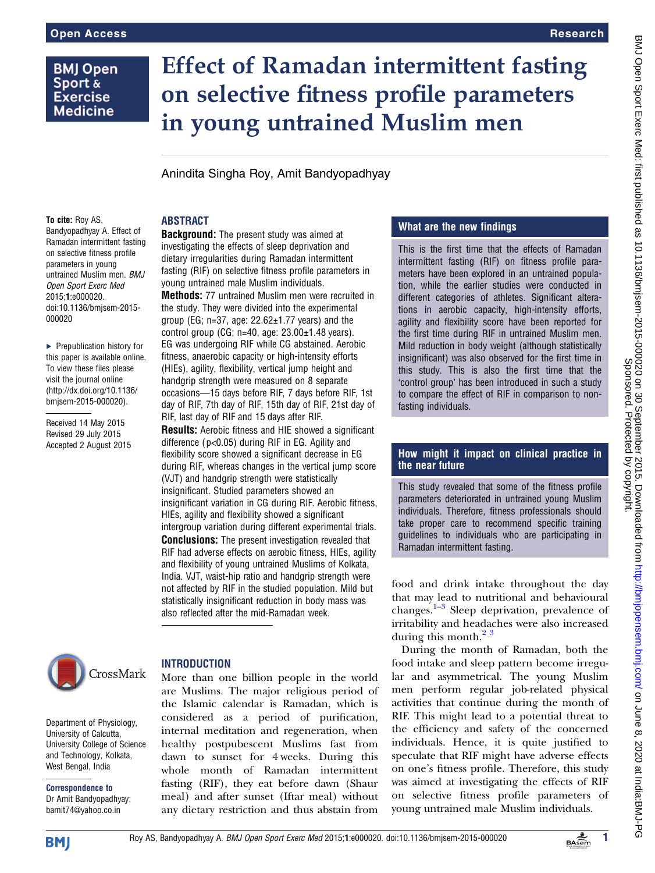# **BMJ Open** Sport & **Exercise Medicine**

# Effect of Ramadan intermittent fasting on selective fitness profile parameters in young untrained Muslim men

Anindita Singha Roy, Amit Bandyopadhyay

investigating the effects of sleep deprivation and dietary irregularities during Ramadan intermittent fasting (RIF) on selective fitness profile parameters in

Methods: 77 untrained Muslim men were recruited in the study. They were divided into the experimental group (EG;  $n=37$ , age:  $22.62\pm1.77$  years) and the control group (CG;  $n=40$ , age:  $23.00\pm1.48$  years). EG was undergoing RIF while CG abstained. Aerobic fitness, anaerobic capacity or high-intensity efforts (HIEs), agility, flexibility, vertical jump height and handgrip strength were measured on 8 separate occasions—15 days before RIF, 7 days before RIF, 1st day of RIF, 7th day of RIF, 15th day of RIF, 21st day of

**Results:** Aerobic fitness and HIE showed a significant difference ( p<0.05) during RIF in EG. Agility and flexibility score showed a significant decrease in EG during RIF, whereas changes in the vertical jump score

insignificant variation in CG during RIF. Aerobic fitness, HIEs, agility and flexibility showed a significant intergroup variation during different experimental trials. **Conclusions:** The present investigation revealed that RIF had adverse effects on aerobic fitness, HIEs, agility and flexibility of young untrained Muslims of Kolkata, India. VJT, waist-hip ratio and handgrip strength were not affected by RIF in the studied population. Mild but statistically insignificant reduction in body mass was

young untrained male Muslim individuals.

RIF, last day of RIF and 15 days after RIF.

(VJT) and handgrip strength were statistically insignificant. Studied parameters showed an

also reflected after the mid-Ramadan week.

#### ABSTRACT **Background:** The present study was aimed at

To cite: Roy AS, Bandyopadhyay A. Effect of Ramadan intermittent fasting on selective fitness profile parameters in young untrained Muslim men. BMJ Open Sport Exerc Med 2015;1:e000020. doi:10.1136/bmjsem-2015- 000020

▶ Prepublication history for this paper is available online. To view these files please visit the journal online [\(http://dx.doi.org/10.1136/](http://dx.doi.org/10.1136/bmjsem-2015-000020) [bmjsem-2015-000020\)](http://dx.doi.org/10.1136/bmjsem-2015-000020).

Received 14 May 2015 Revised 29 July 2015 Accepted 2 August 2015



Department of Physiology, University of Calcutta, University College of Science and Technology, Kolkata, West Bengal, India Correspondence to Dr Amit Bandyopadhyay; bamit74@yahoo.co.in

# **INTRODUCTION**

More than one billion people in the world are Muslims. The major religious period of the Islamic calendar is Ramadan, which is considered as a period of purification, internal meditation and regeneration, when healthy postpubescent Muslims fast from dawn to sunset for 4 weeks. During this whole month of Ramadan intermittent fasting (RIF), they eat before dawn (Shaur meal) and after sunset (Iftar meal) without any dietary restriction and thus abstain from

# What are the new findings

This is the first time that the effects of Ramadan intermittent fasting (RIF) on fitness profile parameters have been explored in an untrained population, while the earlier studies were conducted in different categories of athletes. Significant alterations in aerobic capacity, high-intensity efforts, agility and flexibility score have been reported for the first time during RIF in untrained Muslim men. Mild reduction in body weight (although statistically insignificant) was also observed for the first time in this study. This is also the first time that the 'control group' has been introduced in such a study to compare the effect of RIF in comparison to nonfasting individuals.

# How might it impact on clinical practice in the near future

This study revealed that some of the fitness profile parameters deteriorated in untrained young Muslim individuals. Therefore, fitness professionals should take proper care to recommend specific training guidelines to individuals who are participating in Ramadan intermittent fasting.

food and drink intake throughout the day that ma[y le](#page-6-0)ad to nutritional and behavioural changes. $1-3$  Sleep deprivation, prevalence of irritability and headaches were also increased during this month. $^{2}$   $^{3}$ 

During the month of Ramadan, both the food intake and sleep pattern become irregular and asymmetrical. The young Muslim men perform regular job-related physical activities that continue during the month of RIF. This might lead to a potential threat to the efficiency and safety of the concerned individuals. Hence, it is quite justified to speculate that RIF might have adverse effects on one's fitness profile. Therefore, this study was aimed at investigating the effects of RIF on selective fitness profile parameters of young untrained male Muslim individuals.

**BMJ** 

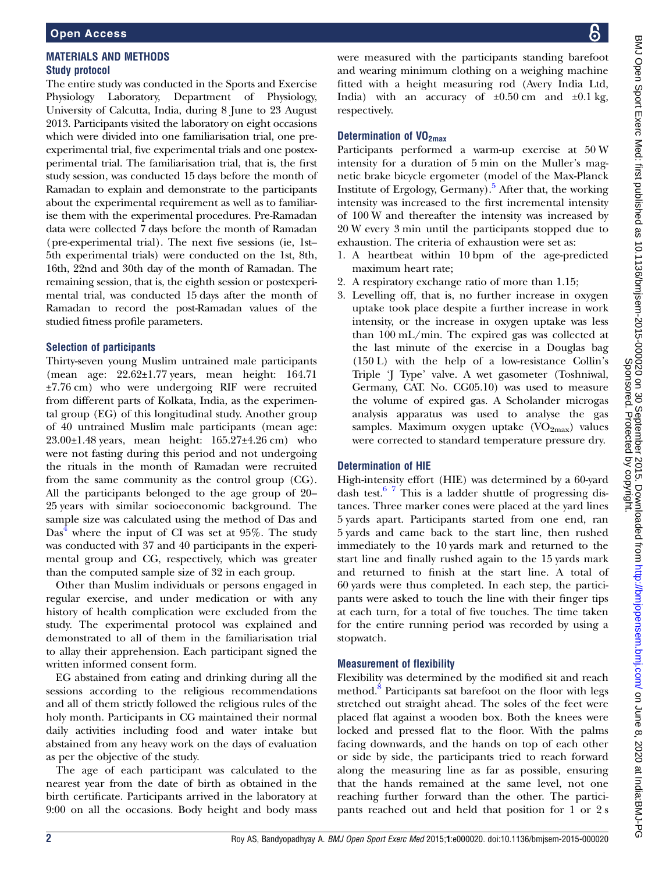### MATERIALS AND METHODS Study protocol

The entire study was conducted in the Sports and Exercise Physiology Laboratory, Department of Physiology, University of Calcutta, India, during 8 June to 23 August 2013. Participants visited the laboratory on eight occasions which were divided into one familiarisation trial, one preexperimental trial, five experimental trials and one postexperimental trial. The familiarisation trial, that is, the first study session, was conducted 15 days before the month of Ramadan to explain and demonstrate to the participants about the experimental requirement as well as to familiarise them with the experimental procedures. Pre-Ramadan data were collected 7 days before the month of Ramadan (pre-experimental trial). The next five sessions (ie, 1st– 5th experimental trials) were conducted on the 1st, 8th, 16th, 22nd and 30th day of the month of Ramadan. The remaining session, that is, the eighth session or postexperimental trial, was conducted 15 days after the month of Ramadan to record the post-Ramadan values of the studied fitness profile parameters.

# Selection of participants

Thirty-seven young Muslim untrained male participants (mean age: 22.62±1.77 years, mean height: 164.71 ±7.76 cm) who were undergoing RIF were recruited from different parts of Kolkata, India, as the experimental group (EG) of this longitudinal study. Another group of 40 untrained Muslim male participants (mean age: 23.00±1.48 years, mean height: 165.27±4.26 cm) who were not fasting during this period and not undergoing the rituals in the month of Ramadan were recruited from the same community as the control group (CG). All the participants belonged to the age group of 20– 25 years with similar socioeconomic background. The sample size was calculated using the method of Das and  $Das<sup>4</sup>$  $Das<sup>4</sup>$  $Das<sup>4</sup>$  where the input of CI was set at 95%. The study was conducted with 37 and 40 participants in the experimental group and CG, respectively, which was greater than the computed sample size of 32 in each group.

Other than Muslim individuals or persons engaged in regular exercise, and under medication or with any history of health complication were excluded from the study. The experimental protocol was explained and demonstrated to all of them in the familiarisation trial to allay their apprehension. Each participant signed the written informed consent form.

EG abstained from eating and drinking during all the sessions according to the religious recommendations and all of them strictly followed the religious rules of the holy month. Participants in CG maintained their normal daily activities including food and water intake but abstained from any heavy work on the days of evaluation as per the objective of the study.

The age of each participant was calculated to the nearest year from the date of birth as obtained in the birth certificate. Participants arrived in the laboratory at 9:00 on all the occasions. Body height and body mass were measured with the participants standing barefoot and wearing minimum clothing on a weighing machine fitted with a height measuring rod (Avery India Ltd, India) with an accuracy of  $\pm 0.50$  cm and  $\pm 0.1$  kg, respectively.

# Determination of VO<sub>2max</sub>

Participants performed a warm-up exercise at 50 W intensity for a duration of 5 min on the Muller's magnetic brake bicycle ergometer (model of the Max-Planck Institute of Ergology, Germany).<sup>[5](#page-6-0)</sup> After that, the working intensity was increased to the first incremental intensity of 100 W and thereafter the intensity was increased by 20 W every 3 min until the participants stopped due to exhaustion. The criteria of exhaustion were set as:

- 1. A heartbeat within 10 bpm of the age-predicted maximum heart rate;
- 2. A respiratory exchange ratio of more than 1.15;
- 3. Levelling off, that is, no further increase in oxygen uptake took place despite a further increase in work intensity, or the increase in oxygen uptake was less than 100 mL/min. The expired gas was collected at the last minute of the exercise in a Douglas bag (150 L) with the help of a low-resistance Collin's Triple 'J Type' valve. A wet gasometer (Toshniwal, Germany, CAT. No. CG05.10) was used to measure the volume of expired gas. A Scholander microgas analysis apparatus was used to analyse the gas samples. Maximum oxygen uptake  $(VO<sub>2max</sub>)$  values were corrected to standard temperature pressure dry.

# Determination of HIE

High-intensity effort (HIE) was determined by a 60-yard dash test.<sup>6 7</sup> This is a ladder shuttle of progressing distances. Three marker cones were placed at the yard lines 5 yards apart. Participants started from one end, ran 5 yards and came back to the start line, then rushed immediately to the 10 yards mark and returned to the start line and finally rushed again to the 15 yards mark and returned to finish at the start line. A total of 60 yards were thus completed. In each step, the participants were asked to touch the line with their finger tips at each turn, for a total of five touches. The time taken for the entire running period was recorded by using a stopwatch.

# Measurement of flexibility

Flexibility was determined by the modified sit and reach method.<sup>8</sup> Participants sat barefoot on the floor with legs stretched out straight ahead. The soles of the feet were placed flat against a wooden box. Both the knees were locked and pressed flat to the floor. With the palms facing downwards, and the hands on top of each other or side by side, the participants tried to reach forward along the measuring line as far as possible, ensuring that the hands remained at the same level, not one reaching further forward than the other. The participants reached out and held that position for 1 or 2 s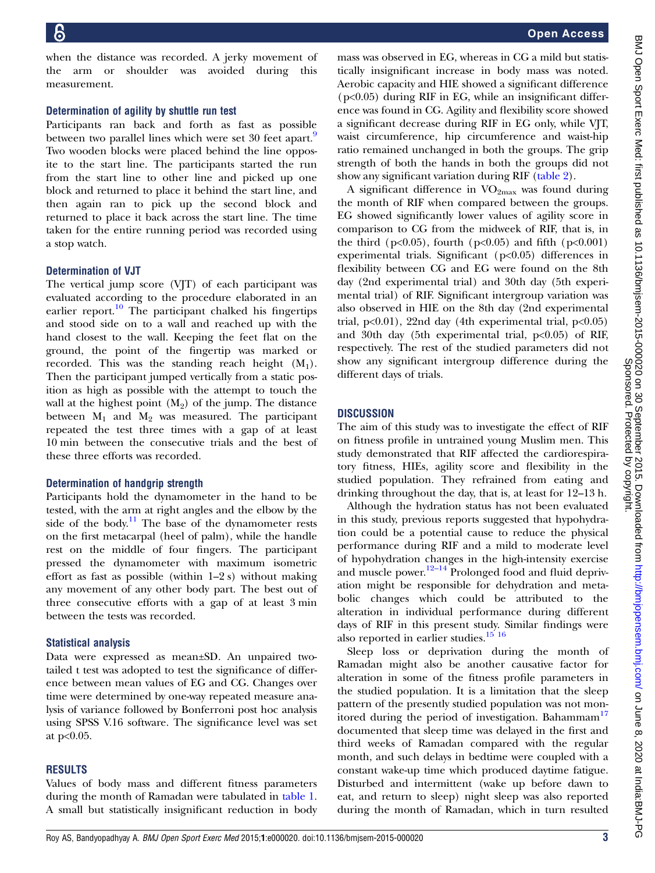when the distance was recorded. A jerky movement of the arm or shoulder was avoided during this measurement.

#### Determination of agility by shuttle run test

Participants ran back and forth as fast as possible between two parallel lines which were set 30 feet apart.<sup>[9](#page-6-0)</sup> Two wooden blocks were placed behind the line opposite to the start line. The participants started the run from the start line to other line and picked up one block and returned to place it behind the start line, and then again ran to pick up the second block and returned to place it back across the start line. The time taken for the entire running period was recorded using a stop watch.

#### Determination of VJT

The vertical jump score (VJT) of each participant was evaluated according to the procedure elaborated in an earlier report.<sup>[10](#page-6-0)</sup> The participant chalked his fingertips and stood side on to a wall and reached up with the hand closest to the wall. Keeping the feet flat on the ground, the point of the fingertip was marked or recorded. This was the standing reach height  $(M_1)$ . Then the participant jumped vertically from a static position as high as possible with the attempt to touch the wall at the highest point  $(M<sub>2</sub>)$  of the jump. The distance between  $M_1$  and  $M_2$  was measured. The participant repeated the test three times with a gap of at least 10 min between the consecutive trials and the best of these three efforts was recorded.

#### Determination of handgrip strength

Participants hold the dynamometer in the hand to be tested, with the arm at right angles and the elbow by the side of the body.<sup>[11](#page-6-0)</sup> The base of the dynamometer rests on the first metacarpal (heel of palm), while the handle rest on the middle of four fingers. The participant pressed the dynamometer with maximum isometric effort as fast as possible (within 1–2 s) without making any movement of any other body part. The best out of three consecutive efforts with a gap of at least 3 min between the tests was recorded.

#### Statistical analysis

Data were expressed as mean±SD. An unpaired twotailed t test was adopted to test the significance of difference between mean values of EG and CG. Changes over time were determined by one-way repeated measure analysis of variance followed by Bonferroni post hoc analysis using SPSS V.16 software. The significance level was set at p<0.05.

#### RESULTS

Values of body mass and different fitness parameters during the month of Ramadan were tabulated in [table 1.](#page-3-0) A small but statistically insignificant reduction in body

mass was observed in EG, whereas in CG a mild but statistically insignificant increase in body mass was noted. Aerobic capacity and HIE showed a significant difference  $(p<0.05)$  during RIF in EG, while an insignificant difference was found in CG. Agility and flexibility score showed a significant decrease during RIF in EG only, while VJT, waist circumference, hip circumference and waist-hip ratio remained unchanged in both the groups. The grip strength of both the hands in both the groups did not show any significant variation during RIF [\(table 2](#page-4-0)).

A significant difference in  $VO<sub>2max</sub>$  was found during the month of RIF when compared between the groups. EG showed significantly lower values of agility score in comparison to CG from the midweek of RIF, that is, in the third ( $p<0.05$ ), fourth ( $p<0.05$ ) and fifth ( $p<0.001$ ) experimental trials. Significant (p<0.05) differences in flexibility between CG and EG were found on the 8th day (2nd experimental trial) and 30th day (5th experimental trial) of RIF. Significant intergroup variation was also observed in HIE on the 8th day (2nd experimental trial,  $p<0.01$ ), 22nd day (4th experimental trial,  $p<0.05$ ) and 30th day (5th experimental trial,  $p<0.05$ ) of RIF, respectively. The rest of the studied parameters did not show any significant intergroup difference during the different days of trials.

#### **DISCUSSION**

The aim of this study was to investigate the effect of RIF on fitness profile in untrained young Muslim men. This study demonstrated that RIF affected the cardiorespiratory fitness, HIEs, agility score and flexibility in the studied population. They refrained from eating and drinking throughout the day, that is, at least for 12–13 h.

Although the hydration status has not been evaluated in this study, previous reports suggested that hypohydration could be a potential cause to reduce the physical performance during RIF and a mild to moderate level of hypohydration changes in the high-intensity exercise and muscle power. $12-14$  Prolonged food and fluid deprivation might be responsible for dehydration and metabolic changes which could be attributed to the alteration in individual performance during different days of RIF in this present study. Similar findings were also reported in earlier studies. $15 \frac{15}{16}$ 

Sleep loss or deprivation during the month of Ramadan might also be another causative factor for alteration in some of the fitness profile parameters in the studied population. It is a limitation that the sleep pattern of the presently studied population was not mon-itored during the period of investigation. Bahammam<sup>[17](#page-6-0)</sup> documented that sleep time was delayed in the first and third weeks of Ramadan compared with the regular month, and such delays in bedtime were coupled with a constant wake-up time which produced daytime fatigue. Disturbed and intermittent (wake up before dawn to eat, and return to sleep) night sleep was also reported during the month of Ramadan, which in turn resulted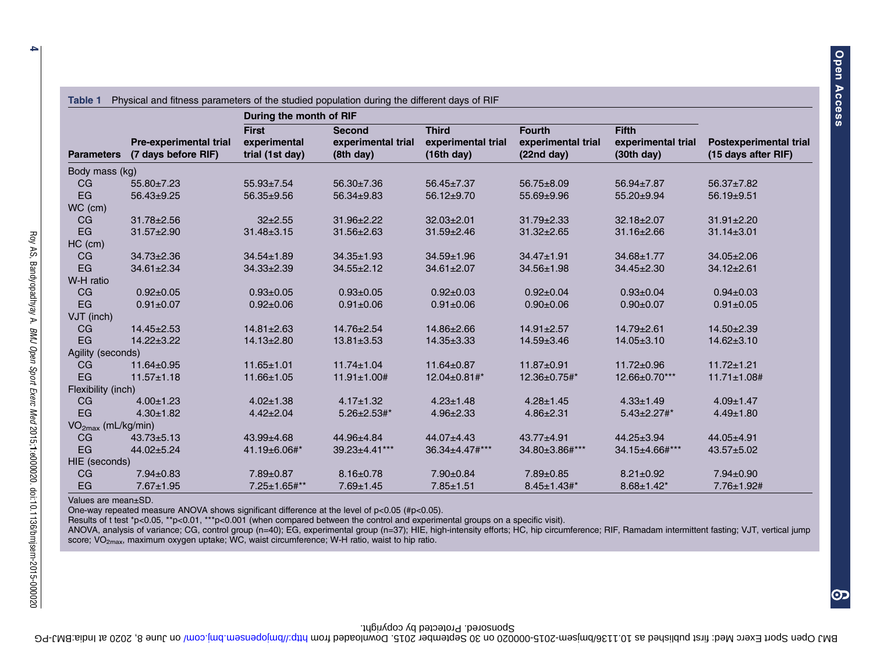| ŀ      |
|--------|
|        |
|        |
|        |
|        |
|        |
| i<br>1 |

<span id="page-3-0"></span>

|                                | Pre-experimental trial<br>(7 days before RIF) | During the month of RIF                         |                                                  |                                                  |                                                   |                                                  |                                                      |
|--------------------------------|-----------------------------------------------|-------------------------------------------------|--------------------------------------------------|--------------------------------------------------|---------------------------------------------------|--------------------------------------------------|------------------------------------------------------|
| <b>Parameters</b>              |                                               | <b>First</b><br>experimental<br>trial (1st day) | <b>Second</b><br>experimental trial<br>(8th day) | <b>Third</b><br>experimental trial<br>(16th day) | <b>Fourth</b><br>experimental trial<br>(22nd day) | <b>Fifth</b><br>experimental trial<br>(30th day) | <b>Postexperimental trial</b><br>(15 days after RIF) |
| Body mass (kg)                 |                                               |                                                 |                                                  |                                                  |                                                   |                                                  |                                                      |
| CG                             | 55.80±7.23                                    | 55.93±7.54                                      | 56.30±7.36                                       | $56.45 \pm 7.37$                                 | 56.75±8.09                                        | 56.94±7.87                                       | 56.37±7.82                                           |
| EG                             | $56.43 \pm 9.25$                              | $56.35 \pm 9.56$                                | 56.34±9.83                                       | 56.12±9.70                                       | 55.69±9.96                                        | 55.20±9.94                                       | $56.19 \pm 9.51$                                     |
| WC (cm)                        |                                               |                                                 |                                                  |                                                  |                                                   |                                                  |                                                      |
| CG                             | $31.78 \pm 2.56$                              | $32+2.55$                                       | $31.96 \pm 2.22$                                 | $32.03 \pm 2.01$                                 | $31.79 \pm 2.33$                                  | $32.18 \pm 2.07$                                 | $31.91 \pm 2.20$                                     |
| EG                             | $31.57 \pm 2.90$                              | $31.48 \pm 3.15$                                | 31.56±2.63                                       | $31.59 \pm 2.46$                                 | $31.32 \pm 2.65$                                  | 31.16±2.66                                       | $31.14 \pm 3.01$                                     |
| HC (cm)                        |                                               |                                                 |                                                  |                                                  |                                                   |                                                  |                                                      |
| CG                             | $34.73 \pm 2.36$                              | $34.54 \pm 1.89$                                | $34.35 \pm 1.93$                                 | $34.59 \pm 1.96$                                 | $34.47 \pm 1.91$                                  | $34.68 \pm 1.77$                                 | $34.05 \pm 2.06$                                     |
| EG                             | $34.61 \pm 2.34$                              | $34.33 \pm 2.39$                                | $34.55 \pm 2.12$                                 | $34.61 \pm 2.07$                                 | $34.56 \pm 1.98$                                  | $34.45 \pm 2.30$                                 | $34.12 \pm 2.61$                                     |
| W-H ratio                      |                                               |                                                 |                                                  |                                                  |                                                   |                                                  |                                                      |
| CG                             | $0.92 \pm 0.05$                               | $0.93 + 0.05$                                   | $0.93 + 0.05$                                    | $0.92 \pm 0.03$                                  | $0.92 \pm 0.04$                                   | $0.93 \pm 0.04$                                  | $0.94 \pm 0.03$                                      |
| EG                             | $0.91 \pm 0.07$                               | $0.92 \pm 0.06$                                 | $0.91 \pm 0.06$                                  | $0.91 \pm 0.06$                                  | $0.90 \pm 0.06$                                   | $0.90 + 0.07$                                    | $0.91 \pm 0.05$                                      |
| VJT (inch)                     |                                               |                                                 |                                                  |                                                  |                                                   |                                                  |                                                      |
| CG                             | $14.45 \pm 2.53$                              | $14.81 \pm 2.63$                                | 14.76±2.54                                       | 14.86±2.66                                       | $14.91 \pm 2.57$                                  | $14.79 \pm 2.61$                                 | $14.50 \pm 2.39$                                     |
| EG                             | $14.22 \pm 3.22$                              | $14.13 \pm 2.80$                                | $13.81 \pm 3.53$                                 | $14.35 \pm 3.33$                                 | $14.59 \pm 3.46$                                  | $14.05 \pm 3.10$                                 | $14.62 \pm 3.10$                                     |
| Agility (seconds)              |                                               |                                                 |                                                  |                                                  |                                                   |                                                  |                                                      |
| CG                             | 11.64±0.95                                    | $11.65 \pm 1.01$                                | $11.74 \pm 1.04$                                 | $11.64 \pm 0.87$                                 | 11.87±0.91                                        | 11.72±0.96                                       | $11.72 \pm 1.21$                                     |
| EG                             | $11.57 \pm 1.18$                              | 11.66±1.05                                      | $11.91 \pm 1.00#$                                | 12.04±0.81#*                                     | 12.36±0.75#*                                      | 12.66±0.70***                                    | $11.71 \pm 1.08$ #                                   |
| Flexibility (inch)             |                                               |                                                 |                                                  |                                                  |                                                   |                                                  |                                                      |
| CG                             | $4.00 \pm 1.23$                               | $4.02 \pm 1.38$                                 | $4.17 \pm 1.32$                                  | $4.23 \pm 1.48$                                  | $4.28 \pm 1.45$                                   | $4.33 \pm 1.49$                                  | $4.09 \pm 1.47$                                      |
| EG                             | $4.30 \pm 1.82$                               | $4.42 \pm 2.04$                                 | 5.26±2.53#*                                      | $4.96 \pm 2.33$                                  | $4.86 \pm 2.31$                                   | $5.43 \pm 2.27$ #*                               | $4.49 \pm 1.80$                                      |
| VO <sub>2max</sub> (mL/kg/min) |                                               |                                                 |                                                  |                                                  |                                                   |                                                  |                                                      |
| CG                             | $43.73 + 5.13$                                | 43.99±4.68                                      | 44.96±4.84                                       | 44.07±4.43                                       | $43.77 + 4.91$                                    | $44.25 \pm 3.94$                                 | 44.05±4.91                                           |
| EG                             | 44.02±5.24                                    | 41.19±6.06#*                                    | 39.23±4.41***                                    | 36.34±4.47#***                                   | 34.80±3.86#***                                    | 34.15±4.66#***                                   | $43.57 \pm 5.02$                                     |
| HIE (seconds)                  |                                               |                                                 |                                                  |                                                  |                                                   |                                                  |                                                      |
| CG                             | $7.94 \pm 0.83$                               | 7.89±0.87                                       | $8.16 \pm 0.78$                                  | 7.90±0.84                                        | $7.89 \pm 0.85$                                   | $8.21 \pm 0.92$                                  | $7.94 \pm 0.90$                                      |
| EG                             | $7.67 \pm 1.95$                               | 7.25±1.65#**                                    | $7.69 + 1.45$                                    | $7.85 \pm 1.51$                                  | $8.45 \pm 1.43$ #*                                | $8.68 \pm 1.42^*$                                | 7.76±1.92#                                           |

Values are mean±SD.

One-way repeated measure ANOVA shows significant difference at the level of p<0.05 (#p<0.05).

Results of t test \*p<0.05, \*\*p<0.01, \*\*\*p<0.001 (when compared between the control and experimental groups on <sup>a</sup> specific visit).

ANOVA, analysis of variance; CG, control group (n=40); EG, experimental group (n=37); HIE, high-intensity efforts; HC, hip circumference; RIF, Ramadam intermittent fasting; VJT, vertical jump score; VO<sub>2max</sub>, maximum oxygen uptake; WC, waist circumference; W-H ratio, waist to hip ratio.

ن - Hero Mune 8, 2020 at India: Babara Barangen as 10.114. Published a four Burgin Barangen Sport Books and Dune B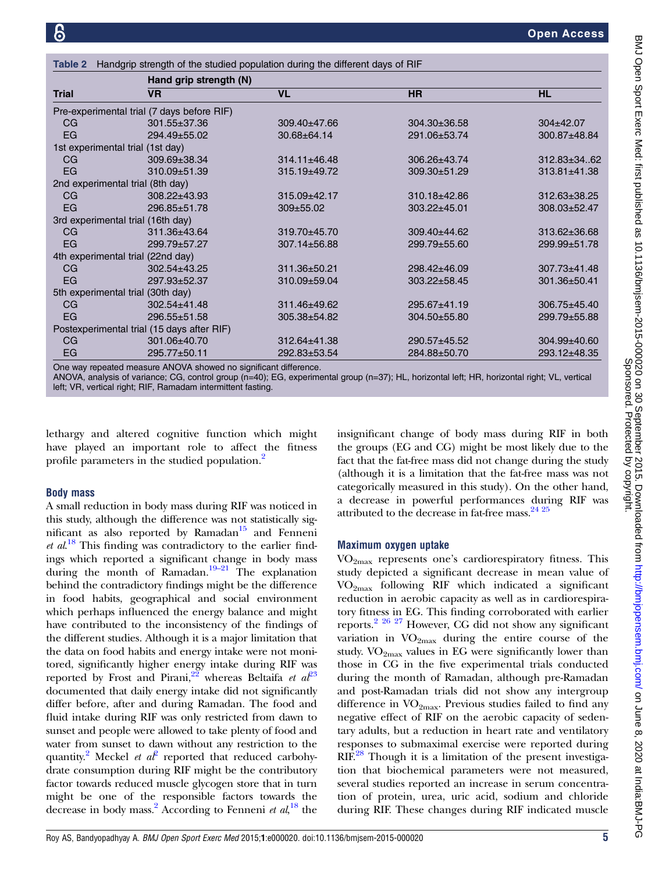<span id="page-4-0"></span>

|              | Hand grip strength (N)                     |                    |                    |                    |  |  |  |
|--------------|--------------------------------------------|--------------------|--------------------|--------------------|--|--|--|
| <b>Trial</b> | <b>VR</b>                                  | <b>VL</b>          | <b>HR</b>          | <b>HL</b>          |  |  |  |
|              | Pre-experimental trial (7 days before RIF) |                    |                    |                    |  |  |  |
| CG.          | 301.55±37.36                               | 309.40±47.66       | $304.30 \pm 36.58$ | 304±42.07          |  |  |  |
| EG           | 294.49±55.02                               | $30.68 \pm 64.14$  | 291.06±53.74       | $300.87 + 48.84$   |  |  |  |
|              | 1st experimental trial (1st day)           |                    |                    |                    |  |  |  |
| <b>CG</b>    | 309.69±38.34                               | $314.11 \pm 46.48$ | 306.26±43.74       | 312.83±3462        |  |  |  |
| <b>EG</b>    | 310.09±51.39                               | 315.19±49.72       | 309.30±51.29       | 313.81±41.38       |  |  |  |
|              | 2nd experimental trial (8th day)           |                    |                    |                    |  |  |  |
| CG.          | 308.22±43.93                               | 315.09±42.17       | 310.18±42.86       | 312.63±38.25       |  |  |  |
| EG           | 296.85±51.78                               | $309 \pm 55.02$    | $303.22 \pm 45.01$ | 308.03±52.47       |  |  |  |
|              | 3rd experimental trial (16th day)          |                    |                    |                    |  |  |  |
| CG           | 311.36±43.64                               | 319.70±45.70       | 309.40±44.62       | 313.62±36.68       |  |  |  |
| EG.          | 299.79±57.27                               | $307.14 \pm 56.88$ | 299.79±55.60       | 299.99±51.78       |  |  |  |
|              | 4th experimental trial (22nd day)          |                    |                    |                    |  |  |  |
| <b>CG</b>    | 302.54±43.25                               | 311.36±50.21       | 298.42±46.09       | $307.73 \pm 41.48$ |  |  |  |
| EG           | 297.93±52.37                               | 310.09±59.04       | $303.22 \pm 58.45$ | 301.36±50.41       |  |  |  |
|              | 5th experimental trial (30th day)          |                    |                    |                    |  |  |  |
| CG.          | 302.54±41.48                               | 311.46±49.62       | 295.67±41.19       | $306.75 \pm 45.40$ |  |  |  |
| <b>EG</b>    | 296.55±51.58                               | 305.38±54.82       | $304.50\pm55.80$   | 299.79±55.88       |  |  |  |
|              | Postexperimental trial (15 days after RIF) |                    |                    |                    |  |  |  |
| CG.          | 301.06±40.70                               | 312.64±41.38       | 290.57±45.52       | 304.99±40.60       |  |  |  |
| EG           | 295.77±50.11                               | 292.83±53.54       | 284.88±50.70       | 293.12±48.35       |  |  |  |

One way repeated measure ANOVA showed no significant difference.

ANOVA, analysis of variance; CG, control group (n=40); EG, experimental group (n=37); HL, horizontal left; HR, horizontal right; VL, vertical left; VR, vertical right; RIF, Ramadam intermittent fasting.

lethargy and altered cognitive function which might have played an important role to affect the fitness profile parameters in the studied population.<sup>[2](#page-6-0)</sup>

#### Body mass

A small reduction in body mass during RIF was noticed in this study, although the difference was not statistically significant as also reported by  $Ramadan<sup>15</sup>$  and Fenneni  $et al.<sup>18</sup>$  $et al.<sup>18</sup>$  $et al.<sup>18</sup>$  This finding was contradictory to the earlier findings which reported a significant change in body mass during the month of Ramadan.<sup>[19](#page-6-0)-21</sup> The explanation behind the contradictory findings might be the difference in food habits, geographical and social environment which perhaps influenced the energy balance and might have contributed to the inconsistency of the findings of the different studies. Although it is a major limitation that the data on food habits and energy intake were not monitored, significantly higher energy intake during RIF was reported by Frost and Pirani,<sup>[22](#page-6-0)</sup> whereas Beltaifa et  $a^{\ell^3}$ documented that daily energy intake did not significantly differ before, after and during Ramadan. The food and fluid intake during RIF was only restricted from dawn to sunset and people were allowed to take plenty of food and water from sunset to dawn without any restriction to the quantity.<sup>[2](#page-6-0)</sup> Meckel *et al*<sup>2</sup> reported that reduced carbohydrate consumption during RIF might be the contributory factor towards reduced muscle glycogen store that in turn might be one of the responsible factors towards the decrease in body mass.<sup>2</sup> According to Fenneni et  $al$ ,<sup>[18](#page-6-0)</sup> the

insignificant change of body mass during RIF in both the groups (EG and CG) might be most likely due to the fact that the fat-free mass did not change during the study (although it is a limitation that the fat-free mass was not categorically measured in this study). On the other hand, a decrease in powerful performances during RIF was attributed to the decrease in fat-free mass.<sup>[24 25](#page-6-0)</sup>

#### Maximum oxygen uptake

VO2max represents one's cardiorespiratory fitness. This study depicted a significant decrease in mean value of  $VO<sub>2max</sub>$  following RIF which indicated a significant reduction in aerobic capacity as well as in cardiorespiratory fitness in EG. This finding corroborated with earlier reports.<sup>[2 26 27](#page-6-0)</sup> However, CG did not show any significant variation in  $VO<sub>2max</sub>$  during the entire course of the study.  $\rm VO_{2max}$  values in EG were significantly lower than those in CG in the five experimental trials conducted during the month of Ramadan, although pre-Ramadan and post-Ramadan trials did not show any intergroup difference in VO<sub>2max</sub>. Previous studies failed to find any negative effect of RIF on the aerobic capacity of sedentary adults, but a reduction in heart rate and ventilatory responses to submaximal exercise were reported during RIF.<sup>28</sup> Though it is a limitation of the present investigation that biochemical parameters were not measured, several studies reported an increase in serum concentration of protein, urea, uric acid, sodium and chloride during RIF. These changes during RIF indicated muscle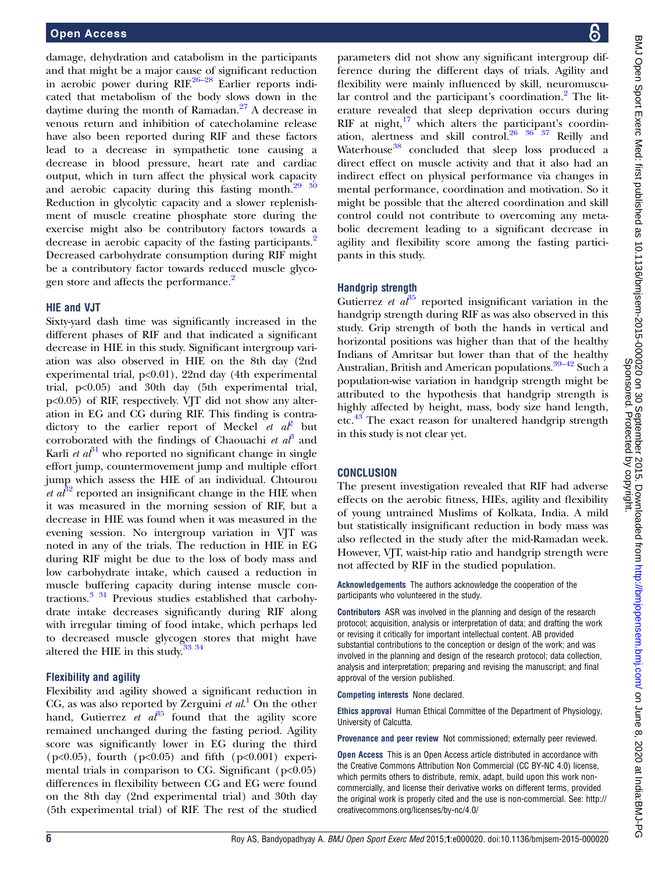damage, dehydration and catabolism in the participants and that might be a major cause of significant reduction in aerobic power during  $RIF^{26-28}$  $RIF^{26-28}$  $RIF^{26-28}$  Earlier reports indicated that metabolism of the body slows down in the daytime during the month of Ramadan. $27$  A decrease in venous return and inhibition of catecholamine release have also been reported during RIF and these factors lead to a decrease in sympathetic tone causing a decrease in blood pressure, heart rate and cardiac output, which in turn affect the physical work capacity and aerobic capacity during this fasting month. $29^{30}$ Reduction in glycolytic capacity and a slower replenishment of muscle creatine phosphate store during the exercise might also be contributory factors towards a decrease in aerobic capacity of the fasting participants.<sup>[2](#page-6-0)</sup> Decreased carbohydrate consumption during RIF might be a contributory factor towards reduced muscle glyco-gen store and affects the performance.<sup>[2](#page-6-0)</sup>

#### HIE and VJT

Sixty-yard dash time was significantly increased in the different phases of RIF and that indicated a significant decrease in HIE in this study. Significant intergroup variation was also observed in HIE on the 8th day (2nd experimental trial,  $p<0.01$ ), 22nd day (4th experimental trial, p<0.05) and 30th day (5th experimental trial, p<0.05) of RIF, respectively. VJT did not show any alteration in EG and CG during RIF. This finding is contradictory to the earlier report of Meckel  $et$   $at^2$  $at^2$  but corroborated with the findings of Chaouachi et  $a\hat{b}$  and Karli *et al*<sup>[31](#page-6-0)</sup> who reported no significant change in single effort jump, countermovement jump and multiple effort jump which assess the HIE of an individual. Chtourou *et al*<sup>[32](#page-6-0)</sup> reported an insignificant change in the HIE when it was measured in the morning session of RIF, but a decrease in HIE was found when it was measured in the evening session. No intergroup variation in VJT was noted in any of the trials. The reduction in HIE in EG during RIF might be due to the loss of body mass and low carbohydrate intake, which caused a reduction in muscle buffering capacity during intense muscle contractions.[3 31](#page-6-0) Previous studies established that carbohydrate intake decreases significantly during RIF along with irregular timing of food intake, which perhaps led to decreased muscle glycogen stores that might have altered the HIE in this study. $33^{34}$ 

#### Flexibility and agility

Flexibility and agility showed a significant reduction in CG, as was also reported by Zerguini et  $al<sup>1</sup>$  $al<sup>1</sup>$  $al<sup>1</sup>$  On the other hand, Gutierrez et  $a l^{35}$  $a l^{35}$  $a l^{35}$  found that the agility score remained unchanged during the fasting period. Agility score was significantly lower in EG during the third ( $p<0.05$ ), fourth ( $p<0.05$ ) and fifth ( $p<0.001$ ) experimental trials in comparison to CG. Significant ( $p<0.05$ ) differences in flexibility between CG and EG were found on the 8th day (2nd experimental trial) and 30th day (5th experimental trial) of RIF. The rest of the studied

parameters did not show any significant intergroup difference during the different days of trials. Agility and flexibility were mainly influenced by skill, neuromuscular control and the participant's coordination. $\frac{2}{3}$  $\frac{2}{3}$  $\frac{2}{3}$  The literature revealed that sleep deprivation occurs during RIF at night, $17$  which alters the participant's coordination, alertness and skill control[.26 36 37](#page-6-0) Reilly and Waterhouse<sup>[38](#page-6-0)</sup> concluded that sleep loss produced a direct effect on muscle activity and that it also had an indirect effect on physical performance via changes in mental performance, coordination and motivation. So it might be possible that the altered coordination and skill control could not contribute to overcoming any metabolic decrement leading to a significant decrease in agility and flexibility score among the fasting participants in this study.

#### Handgrip strength

Gutierrez et  $a^{35}$  $a^{35}$  $a^{35}$  reported insignificant variation in the handgrip strength during RIF as was also observed in this study. Grip strength of both the hands in vertical and horizontal positions was higher than that of the healthy Indians of Amritsar but lower than that of the healthy Australian, British and American populations.<sup>[39](#page-6-0)–42</sup> Such a population-wise variation in handgrip strength might be attributed to the hypothesis that handgrip strength is highly affected by height, mass, body size hand length, etc.[43](#page-6-0) The exact reason for unaltered handgrip strength in this study is not clear yet.

### **CONCLUSION**

The present investigation revealed that RIF had adverse effects on the aerobic fitness, HIEs, agility and flexibility of young untrained Muslims of Kolkata, India. A mild but statistically insignificant reduction in body mass was also reflected in the study after the mid-Ramadan week. However, VJT, waist-hip ratio and handgrip strength were not affected by RIF in the studied population.

Acknowledgements The authors acknowledge the cooperation of the participants who volunteered in the study.

Contributors ASR was involved in the planning and design of the research protocol; acquisition, analysis or interpretation of data; and drafting the work or revising it critically for important intellectual content. AB provided substantial contributions to the conception or design of the work; and was involved in the planning and design of the research protocol; data collection, analysis and interpretation; preparing and revising the manuscript; and final approval of the version published.

Competing interests None declared.

Ethics approval Human Ethical Committee of the Department of Physiology, University of Calcutta.

Provenance and peer review Not commissioned; externally peer reviewed.

Open Access This is an Open Access article distributed in accordance with the Creative Commons Attribution Non Commercial (CC BY-NC 4.0) license, which permits others to distribute, remix, adapt, build upon this work noncommercially, and license their derivative works on different terms, provided the original work is properly cited and the use is non-commercial. See: [http://](http://creativecommons.org/licenses/by-nc/4.0/) [creativecommons.org/licenses/by-nc/4.0/](http://creativecommons.org/licenses/by-nc/4.0/)